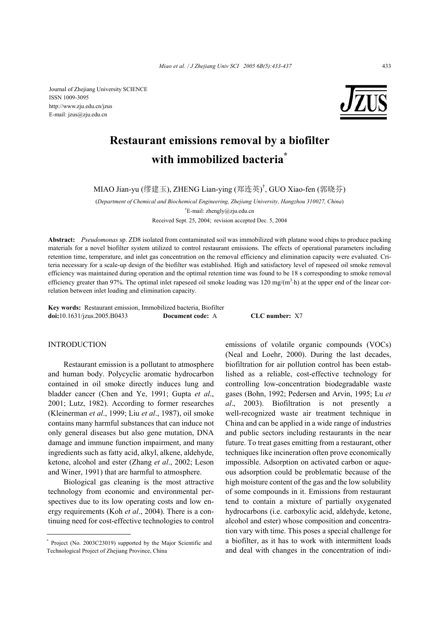Journal of Zhejiang University SCIENCE ISSN 1009-3095 http://www.zju.edu.cn/jzus E-mail: jzus@zju.edu.cn



# **Restaurant emissions removal by a biofilter with immobilized bacteria\***

MIAO Jian-yu (缪建玉), ZHENG Lian-ying (郑连英) † , GUO Xiao-fen (郭晓芬)

(*Department of Chemical and Biochemical Engineering, Zhejiang University, Hangzhou 310027, China*) † E-mail: zhengly@zju.edu.cn

Received Sept. 25, 2004; revision accepted Dec. 5, 2004

**Abstract:** *Pseudomonas* sp. ZD8 isolated from contaminated soil was immobilized with platane wood chips to produce packing materials for a novel biofilter system utilized to control restaurant emissions. The effects of operational parameters including retention time, temperature, and inlet gas concentration on the removal efficiency and elimination capacity were evaluated. Criteria necessary for a scale-up design of the biofilter was established. High and satisfactory level of rapeseed oil smoke removal efficiency was maintained during operation and the optimal retention time was found to be 18 s corresponding to smoke removal efficiency greater than 97%. The optimal inlet rapeseed oil smoke loading was  $120 \text{ mg/(m}^3 \cdot \text{h})$  at the upper end of the linear correlation between inlet loading and elimination capacity.

**Key words:** Restaurant emission, Immobilized bacteria, Biofilter **doi:**10.1631/jzus.2005.B0433 **Document code:** A **CLC number:** X7

# INTRODUCTION

Restaurant emission is a pollutant to atmosphere and human body. Polycyclic aromatic hydrocarbon contained in oil smoke directly induces lung and bladder cancer (Chen and Ye, 1991; Gupta *et al*., 2001; Lutz, 1982). According to former researches (Kleinerman *et al*., 1999; Liu *et al*., 1987), oil smoke contains many harmful substances that can induce not only general diseases but also gene mutation, DNA damage and immune function impairment, and many ingredients such as fatty acid, alkyl, alkene, aldehyde, ketone, alcohol and ester (Zhang *et al*., 2002; Leson and Winer, 1991) that are harmful to atmosphere.

Biological gas cleaning is the most attractive technology from economic and environmental perspectives due to its low operating costs and low energy requirements (Koh *et al*., 2004). There is a continuing need for cost-effective technologies to control

\* Project (No. 2003C23019) supported by the Major Scientific and Technological Project of Zhejiang Province, China

emissions of volatile organic compounds (VOCs) (Neal and Loehr, 2000). During the last decades, biofiltration for air pollution control has been established as a reliable, cost-effective technology for controlling low-concentration biodegradable waste gases (Bohn, 1992; Pedersen and Arvin, 1995; Lu *et al*., 2003). Biofiltration is not presently a well-recognized waste air treatment technique in China and can be applied in a wide range of industries and public sectors including restaurants in the near future. To treat gases emitting from a restaurant, other techniques like incineration often prove economically impossible. Adsorption on activated carbon or aqueous adsorption could be problematic because of the high moisture content of the gas and the low solubility of some compounds in it. Emissions from restaurant tend to contain a mixture of partially oxygenated hydrocarbons (i.e. carboxylic acid, aldehyde, ketone, alcohol and ester) whose composition and concentration vary with time. This poses a special challenge for a biofilter, as it has to work with intermittent loads and deal with changes in the concentration of indi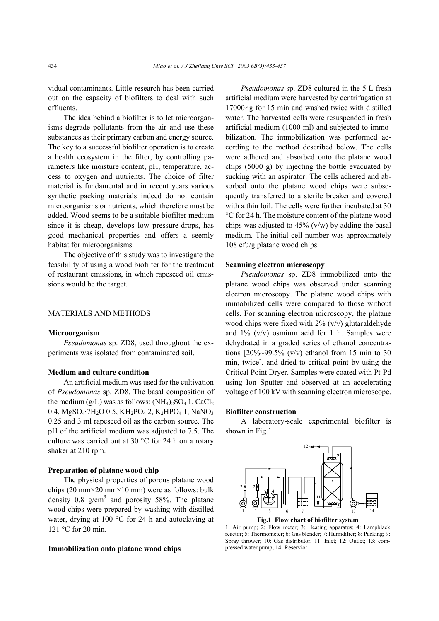vidual contaminants. Little research has been carried out on the capacity of biofilters to deal with such effluents.

The idea behind a biofilter is to let microorganisms degrade pollutants from the air and use these substances as their primary carbon and energy source. The key to a successful biofilter operation is to create a health ecosystem in the filter, by controlling parameters like moisture content, pH, temperature, access to oxygen and nutrients. The choice of filter material is fundamental and in recent years various synthetic packing materials indeed do not contain microorganisms or nutrients, which therefore must be added. Wood seems to be a suitable biofilter medium since it is cheap, develops low pressure-drops, has good mechanical properties and offers a seemly habitat for microorganisms.

The objective of this study was to investigate the feasibility of using a wood biofilter for the treatment of restaurant emissions, in which rapeseed oil emissions would be the target.

## MATERIALS AND METHODS

#### **Microorganism**

*Pseudomonas* sp. ZD8, used throughout the experiments was isolated from contaminated soil.

## **Medium and culture condition**

An artificial medium was used for the cultivation of *Pseudomonas* sp. ZD8. The basal composition of the medium  $(g/L)$  was as follows:  $(NH_4)_2SO_4$  1,  $CaCl_2$ 0.4,  $MgSO_4$ ·7H<sub>2</sub>O 0.5, KH<sub>2</sub>PO<sub>4</sub> 2, K<sub>2</sub>HPO<sub>4</sub> 1, NaNO<sub>3</sub> 0.25 and 3 ml rapeseed oil as the carbon source. The pH of the artificial medium was adjusted to 7.5. The culture was carried out at 30 °C for 24 h on a rotary shaker at 210 rpm.

## **Preparation of platane wood chip**

The physical properties of porous platane wood chips (20 mm×20 mm×10 mm) were as follows: bulk density 0.8  $g/cm<sup>3</sup>$  and porosity 58%. The platane wood chips were prepared by washing with distilled water, drying at 100 °C for 24 h and autoclaving at 121 °C for 20 min.

#### **Immobilization onto platane wood chips**

*Pseudomonas* sp. ZD8 cultured in the 5 L fresh artificial medium were harvested by centrifugation at  $17000 \times g$  for 15 min and washed twice with distilled water. The harvested cells were resuspended in fresh artificial medium (1000 ml) and subjected to immobilization. The immobilization was performed according to the method described below. The cells were adhered and absorbed onto the platane wood chips (5000 g) by injecting the bottle evacuated by sucking with an aspirator. The cells adhered and absorbed onto the platane wood chips were subsequently transferred to a sterile breaker and covered with a thin foil. The cells were further incubated at 30 °C for 24 h. The moisture content of the platane wood chips was adjusted to  $45\%$  (v/w) by adding the basal medium. The initial cell number was approximately 108 cfu/g platane wood chips.

#### **Scanning electron microscopy**

*Pseudomonas* sp. ZD8 immobilized onto the platane wood chips was observed under scanning electron microscopy. The platane wood chips with immobilized cells were compared to those without cells. For scanning electron microscopy, the platane wood chips were fixed with  $2\%$  (v/v) glutaraldehyde and  $1\%$  (v/v) osmium acid for 1 h. Samples were dehydrated in a graded series of ethanol concentrations  $[20\% \sim 99.5\%$  (v/v) ethanol from 15 min to 30 min, twice], and dried to critical point by using the Critical Point Dryer. Samples were coated with Pt-Pd using Ion Sputter and observed at an accelerating voltage of 100 kV with scanning electron microscope.

#### **Biofilter construction**

A laboratory-scale experimental biofilter is shown in Fig.1.



**Fig.1 Flow chart of biofilter system** 

1: Air pump; 2: Flow meter; 3: Heating apparatus; 4: Lampblack reactor; 5: Thermometer; 6: Gas blender; 7: Humidifier; 8: Packing; 9: Spray thrower; 10: Gas distributor; 11: Inlet; 12: Outlet; 13: compressed water pump; 14: Reservior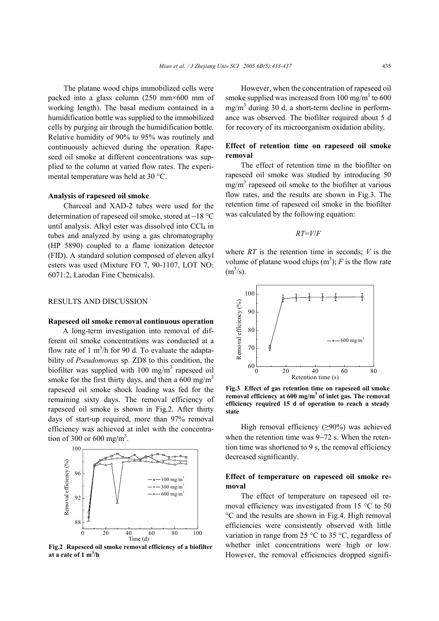The platane wood chips immobilized cells were packed into a glass column (250 mm×600 mm of working length). The basal medium contained in a humidification bottle was supplied to the immobilized cells by purging air through the humidification bottle. Relative humidity of 90% to 95% was routinely and continuously achieved during the operation. Rapeseed oil smoke at different concentrations was supplied to the column at varied flow rates. The experimental temperature was held at 30 °C.

#### **Analysis of rapeseed oil smoke**

Charcoal and XAD-2 tubes were used for the determination of rapeseed oil smoke, stored at −18 °C until analysis. Alkyl ester was dissolved into  $CCl<sub>4</sub>$  in tubes and analyzed by using a gas chromatography (HP 5890) coupled to a flame ionization detector (FID). A standard solution composed of eleven alkyl esters was used (Mixture FO 7, 90-1107, LOT NO: 6071:2, Larodan Fine Chemicals).

## RESULTS AND DISCUSSION

### **Rapeseed oil smoke removal continuous operation**

A long-term investigation into removal of different oil smoke concentrations was conducted at a flow rate of 1  $m^3/h$  for 90 d. To evaluate the adaptability of *Pseudomonas* sp. ZD8 to this condition, the biofilter was supplied with 100 mg/m<sup>3</sup> rapeseed oil smoke for the first thirty days, and then a 600 mg/m<sup>3</sup> rapeseed oil smoke shock loading was fed for the remaining sixty days. The removal efficiency of rapeseed oil smoke is shown in Fig.2. After thirty days of start-up required, more than 97% removal efficiency was achieved at inlet with the concentration of 300 or 600 mg/m<sup>3</sup>.



**Fig.2 Rapeseed oil smoke removal efficiency of a biofilter at a rate of 1 m3 /h**

However, when the concentration of rapeseed oil smoke supplied was increased from  $100 \text{ mg/m}^3$  to  $600$  $mg/m<sup>3</sup>$  during 30 d, a short-term decline in performance was observed. The biofilter required about 5 d for recovery of its microorganism oxidation ability.

# **Effect of retention time on rapeseed oil smoke removal**

The effect of retention time in the biofilter on rapeseed oil smoke was studied by introducing 50  $mg/m<sup>3</sup>$  rapeseed oil smoke to the biofilter at various flow rates, and the results are shown in Fig.3. The retention time of rapeseed oil smoke in the biofilter was calculated by the following equation:

$$
RT = V/F
$$

where *RT* is the retention time in seconds; *V* is the volume of platane wood chips  $(m^3)$ ; *F* is the flow rate  $(m^3/s)$ .



**Fig.3 Effect of gas retention time on rapeseed oil smoke removal efficiency at 600 mg/m<sup>3</sup> of inlet gas. The removal efficiency required 15 d of operation to reach a steady state**

High removal efficiency (≥90%) was achieved when the retention time was 9−72 s. When the retention time was shortened to 9 s, the removal efficiency decreased significantly.

## **Effect of temperature on rapeseed oil smoke removal**

The effect of temperature on rapeseed oil removal efficiency was investigated from 15 °C to 50 °C and the results are shown in Fig.4. High removal efficiencies were consistently observed with little variation in range from 25 °C to 35 °C, regardless of whether inlet concentrations were high or low. However, the removal efficiencies dropped signifi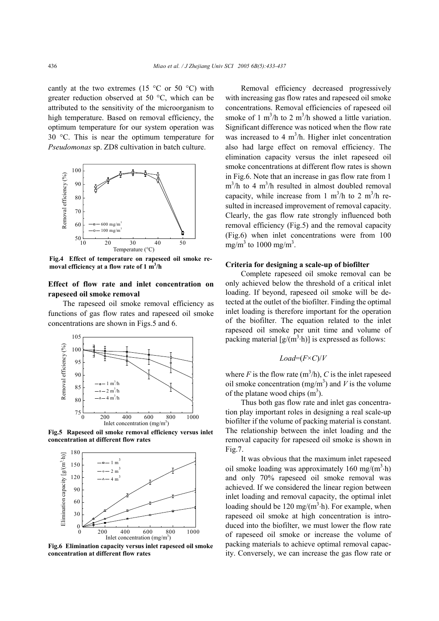cantly at the two extremes (15  $\degree$ C or 50  $\degree$ C) with greater reduction observed at 50 °C, which can be attributed to the sensitivity of the microorganism to high temperature. Based on removal efficiency, the optimum temperature for our system operation was 30 °C. This is near the optimum temperature for *Pseudomonas* sp. ZD8 cultivation in batch culture.



**Fig.4 Effect of temperature on rapeseed oil smoke removal efficiency at a flow rate of 1 m3 /h**

# **Effect of flow rate and inlet concentration on rapeseed oil smoke removal**

The rapeseed oil smoke removal efficiency as functions of gas flow rates and rapeseed oil smoke concentrations are shown in Figs.5 and 6.



**Fig.5 Rapeseed oil smoke removal efficiency versus inlet concentration at different flow rates**



**Fig.6 Elimination capacity versus inlet rapeseed oil smoke concentration at different flow rates**

Removal efficiency decreased progressively with increasing gas flow rates and rapeseed oil smoke concentrations. Removal efficiencies of rapeseed oil smoke of 1 m<sup>3</sup>/h to 2 m<sup>3</sup>/h showed a little variation. Significant difference was noticed when the flow rate was increased to 4  $m<sup>3</sup>/h$ . Higher inlet concentration also had large effect on removal efficiency. The elimination capacity versus the inlet rapeseed oil smoke concentrations at different flow rates is shown in Fig.6. Note that an increase in gas flow rate from 1  $m^3/h$  to 4  $m^3/h$  resulted in almost doubled removal capacity, while increase from 1 m<sup>3</sup>/h to 2 m<sup>3</sup>/h resulted in increased improvement of removal capacity. Clearly, the gas flow rate strongly influenced both removal efficiency (Fig.5) and the removal capacity (Fig.6) when inlet concentrations were from 100 mg/m<sup>3</sup> to 1000 mg/m<sup>3</sup>.

## **Criteria for designing a scale-up of biofilter**

Complete rapeseed oil smoke removal can be only achieved below the threshold of a critical inlet loading. If beyond, rapeseed oil smoke will be detected at the outlet of the biofilter. Finding the optimal inlet loading is therefore important for the operation of the biofilter. The equation related to the inlet rapeseed oil smoke per unit time and volume of packing material  $[g/(m^3 \cdot h)]$  is expressed as follows:

# *Load*=(*F*×*C*)/*V*

where  $F$  is the flow rate  $(m^3/h)$ ,  $C$  is the inlet rapeseed oil smoke concentration  $(mg/m<sup>3</sup>)$  and *V* is the volume of the platane wood chips  $(m<sup>3</sup>)$ .

Thus both gas flow rate and inlet gas concentration play important roles in designing a real scale-up biofilter if the volume of packing material is constant. The relationship between the inlet loading and the removal capacity for rapeseed oil smoke is shown in Fig.7.

It was obvious that the maximum inlet rapeseed oil smoke loading was approximately  $160 \text{ mg/(m}^3 \cdot h)$ and only 70% rapeseed oil smoke removal was achieved. If we considered the linear region between inlet loading and removal capacity, the optimal inlet loading should be 120 mg/ $(m^3 \cdot h)$ . For example, when rapeseed oil smoke at high concentration is introduced into the biofilter, we must lower the flow rate of rapeseed oil smoke or increase the volume of packing materials to achieve optimal removal capacity. Conversely, we can increase the gas flow rate or